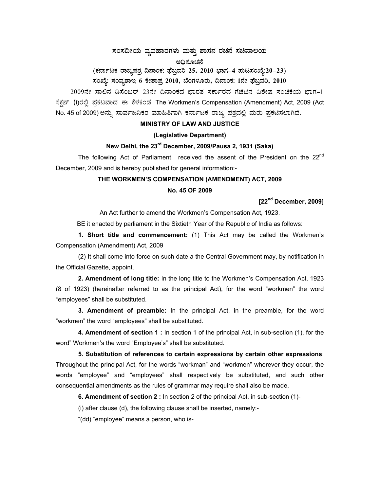## $\pi$ ನಂಸದೀಯ ವ್ಯವಹಾರಗಳು ಮತ್ತು ಶಾಸನ ರಚನೆ ಸಚಿವಾಲಯ

#### ಅಧಿಸೂಚನೆ

# (ಕರ್ನಾಟಕ ರಾಜ್ಯಪತ್ರ ದಿನಾಂಕ: ಫೆಬ್ರವರಿ 25, 2010 ಭಾಗ–4 **ಮಟಸಂಖ್ಯೆ**:20–23) ಸಂಖ್ಯೆ: ಸಂವ್ಯಶಾಇ 6 ಕೇಶಾಪ್ರ 2010, ಬೆಂಗಳೂರು, ದಿನಾಂಕ: 1ನೇ ಫೆಬ್ರವರಿ, 2010

2009ನೇ ಸಾಲಿನ ಡಿಸೆಂಬರ್ 23ನೇ ದಿನಾಂಕದ ಭಾರತ ಸರ್ಕಾರದ ಗೆಜೆಟಿನ ವಿಶೇಷ ಸಂಚಿಕೆಯ ಭಾಗ-II ಸೆಕ್ಷನ್ (i)ರಲ್ಲಿ ಪ್ರಕಟವಾದ ಈ ಕೆಳಕಂಡ The Workmen's Compensation (Amendment) Act, 2009 (Act No. 45 of 2009) ಅನ್ನು ಸಾರ್ವಜನಿಕರ ಮಾಹಿತಿಗಾಗಿ ಕರ್ನಾಟಕ ರಾಜ್ಯ ಪತ್ರದಲ್ಲಿ ಮರು ಪ್ರಕಟಿಸಲಾಗಿದೆ.

### **MINISTRY OF LAW AND JUSTICE**

### **(Legislative Department)**

# **New Delhi, the 23rd December, 2009/Pausa 2, 1931 (Saka)**

The following Act of Parliament received the assent of the President on the 22<sup>nd</sup> December, 2009 and is hereby published for general information:-

#### **THE WORKMEN'S COMPENSATION (AMENDMENT) ACT, 2009**

### **No. 45 OF 2009**

## **[22nd December, 2009]**

An Act further to amend the Workmen's Compensation Act, 1923.

BE it enacted by parliament in the Sixtieth Year of the Republic of India as follows:

 **1. Short title and commencement:** (1) This Act may be called the Workmen's Compensation (Amendment) Act, 2009

(2) It shall come into force on such date a the Central Government may, by notification in the Official Gazette, appoint.

**2. Amendment of long title:** In the long title to the Workmen's Compensation Act, 1923 (8 of 1923) (hereinafter referred to as the principal Act), for the word "workmen" the word "employees" shall be substituted.

**3. Amendment of preamble:** In the principal Act, in the preamble, for the word "workmen" the word "employees" shall be substituted.

**4. Amendment of section 1 :** In section 1 of the principal Act, in sub-section (1), for the word" Workmen's the word "Employee's" shall be substituted.

**5. Substitution of references to certain expressions by certain other expressions**: Throughout the principal Act, for the words "workman" and "workmen" wherever they occur, the words "employee" and "employees" shall respectively be substituted, and such other consequential amendments as the rules of grammar may require shall also be made.

**6. Amendment of section 2 :** In section 2 of the principal Act, in sub-section (1)-

(i) after clause (d), the following clause shall be inserted, namely:-

"(dd) "employee" means a person, who is-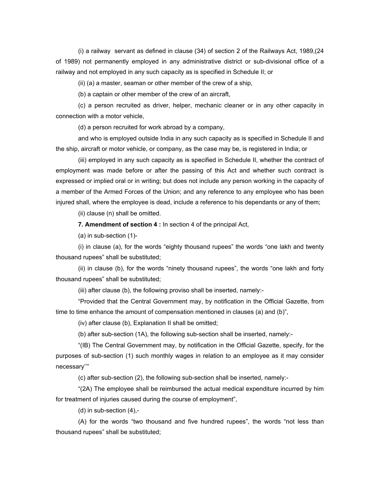(i) a railway servant as defined in clause (34) of section 2 of the Railways Act, 1989,(24 of 1989) not permanently employed in any administrative district or sub-divisional office of a railway and not employed in any such capacity as is specified in Schedule II; or

(ii) (a) a master, seaman or other member of the crew of a ship,

(b) a captain or other member of the crew of an aircraft,

 (c) a person recruited as driver, helper, mechanic cleaner or in any other capacity in connection with a motor vehicle,

(d) a person recruited for work abroad by a company,

 and who is employed outside India in any such capacity as is specified in Schedule II and the ship, aircraft or motor vehicle, or company, as the case may be, is registered in India; or

 (iii) employed in any such capacity as is specified in Schedule II, whether the contract of employment was made before or after the passing of this Act and whether such contract is expressed or implied oral or in writing; but does not include any person working in the capacity of a member of the Armed Forces of the Union; and any reference to any employee who has been injured shall, where the employee is dead, include a reference to his dependants or any of them;

(ii) clause (n) shall be omitted.

**7. Amendment of section 4 :** In section 4 of the principal Act,

(a) in sub-section (1)-

 (i) in clause (a), for the words "eighty thousand rupees" the words "one lakh and twenty thousand rupees" shall be substituted;

 (ii) in clause (b), for the words "ninety thousand rupees", the words "one lakh and forty thousand rupees" shall be substituted;

(iii) after clause (b), the following proviso shall be inserted, namely:-

 "Provided that the Central Government may, by notification in the Official Gazette, from time to time enhance the amount of compensation mentioned in clauses (a) and (b)",

(iv) after clause (b), Explanation II shall be omitted;

(b) after sub-section (1A), the following sub-section shall be inserted, namely:-

 "(IB) The Central Government may, by notification in the Official Gazette, specify, for the purposes of sub-section (1) such monthly wages in relation to an employee as it may consider necessary''"

(c) after sub-section (2), the following sub-section shall be inserted, namely:-

 "(2A) The employee shall be reimbursed the actual medical expenditure incurred by him for treatment of injuries caused during the course of employment",

 $(d)$  in sub-section  $(4)$ ,-

 (A) for the words "two thousand and five hundred rupees", the words "not less than thousand rupees" shall be substituted;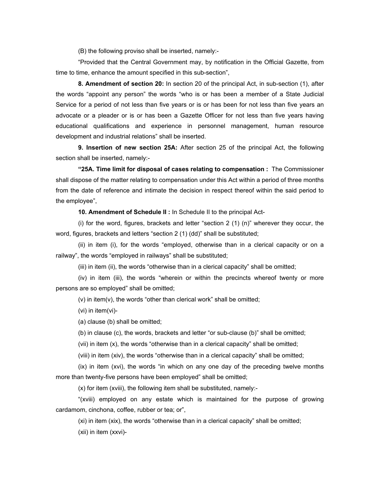(B) the following proviso shall be inserted, namely:-

 "Provided that the Central Government may, by notification in the Official Gazette, from time to time, enhance the amount specified in this sub-section",

**8. Amendment of section 20:** In section 20 of the principal Act, in sub-section (1), after the words "appoint any person" the words "who is or has been a member of a State Judicial Service for a period of not less than five years or is or has been for not less than five years an advocate or a pleader or is or has been a Gazette Officer for not less than five years having educational qualifications and experience in personnel management, human resource development and industrial relations" shall be inserted.

**9. Insertion of new section 25A:** After section 25 of the principal Act, the following section shall be inserted, namely:-

**"25A. Time limit for disposal of cases relating to compensation :** The Commissioner shall dispose of the matter relating to compensation under this Act within a period of three months from the date of reference and intimate the decision in respect thereof within the said period to the employee",

**10. Amendment of Schedule II :** In Schedule II to the principal Act-

(i) for the word, figures, brackets and letter "section 2  $(1)$  (n)" wherever they occur, the word, figures, brackets and letters "section 2 (1) (dd)" shall be substituted;

 (ii) in item (i), for the words "employed, otherwise than in a clerical capacity or on a railway", the words "employed in railways" shall be substituted;

(iii) in item (ii), the words "otherwise than in a clerical capacity" shall be omitted;

 (iv) in item (iii), the words "wherein or within the precincts whereof twenty or more persons are so employed" shall be omitted;

(v) in item(v), the words "other than clerical work" shall be omitted;

(vi) in item(vi)-

(a) clause (b) shall be omitted;

(b) in clause (c), the words, brackets and letter "or sub-clause (b)" shall be omitted;

(vii) in item (x), the words "otherwise than in a clerical capacity" shall be omitted;

(viii) in item (xiv), the words "otherwise than in a clerical capacity" shall be omitted;

 (ix) in item (xvi), the words "in which on any one day of the preceding twelve months more than twenty-five persons have been employed" shall be omitted;

(x) for item (xviii), the following item shall be substituted, namely:-

 "(xviii) employed on any estate which is maintained for the purpose of growing cardamom, cinchona, coffee, rubber or tea; or",

(xi) in item (xix), the words "otherwise than in a clerical capacity" shall be omitted;

(xii) in item (xxvi)-